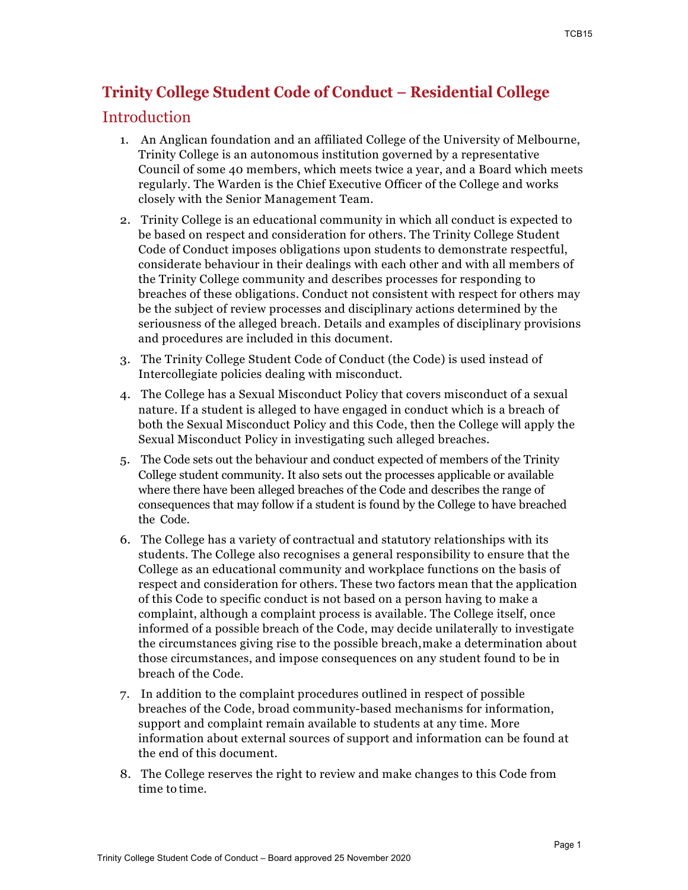# **Trinity College Student Code of Conduct – Residential College**

## Introduction

- 1. An Anglican foundation and an affiliated College of the University of Melbourne, Trinity College is an autonomous institution governed by a representative Council of some 40 members, which meets twice a year, and a Board which meets regularly. The Warden is the Chief Executive Officer of the College and works closely with the Senior Management Team.
- 2. Trinity College is an educational community in which all conduct is expected to be based on respect and consideration for others. The Trinity College Student Code of Conduct imposes obligations upon students to demonstrate respectful, considerate behaviour in their dealings with each other and with all members of the Trinity College community and describes processes for responding to breaches of these obligations. Conduct not consistent with respect for others may be the subject of review processes and disciplinary actions determined by the seriousness of the alleged breach. Details and examples of disciplinary provisions and procedures are included in this document.
- 3. The Trinity College Student Code of Conduct (the Code) is used instead of Intercollegiate policies dealing with misconduct.
- 4. The College has a Sexual Misconduct Policy that covers misconduct of a sexual nature. If a student is alleged to have engaged in conduct which is a breach of both the Sexual Misconduct Policy and this Code, then the College will apply the Sexual Misconduct Policy in investigating such alleged breaches.
- 5. The Code sets out the behaviour and conduct expected of members of the Trinity College student community. It also sets out the processes applicable or available where there have been alleged breaches of the Code and describes the range of consequences that may follow if a student is found by the College to have breached the Code.
- 6. The College has a variety of contractual and statutory relationships with its students. The College also recognises a general responsibility to ensure that the College as an educational community and workplace functions on the basis of respect and consideration for others. These two factors mean that the application of this Code to specific conduct is not based on a person having to make a complaint, although a complaint process is available. The College itself, once informed of a possible breach of the Code, may decide unilaterally to investigate the circumstances giving rise to the possible breach,make a determination about those circumstances, and impose consequences on any student found to be in breach of the Code.
- 7. In addition to the complaint procedures outlined in respect of possible breaches of the Code, broad community-based mechanisms for information, support and complaint remain available to students at any time. More information about external sources of support and information can be found at the end of this document.
- 8. The College reserves the right to review and make changes to this Code from time to time.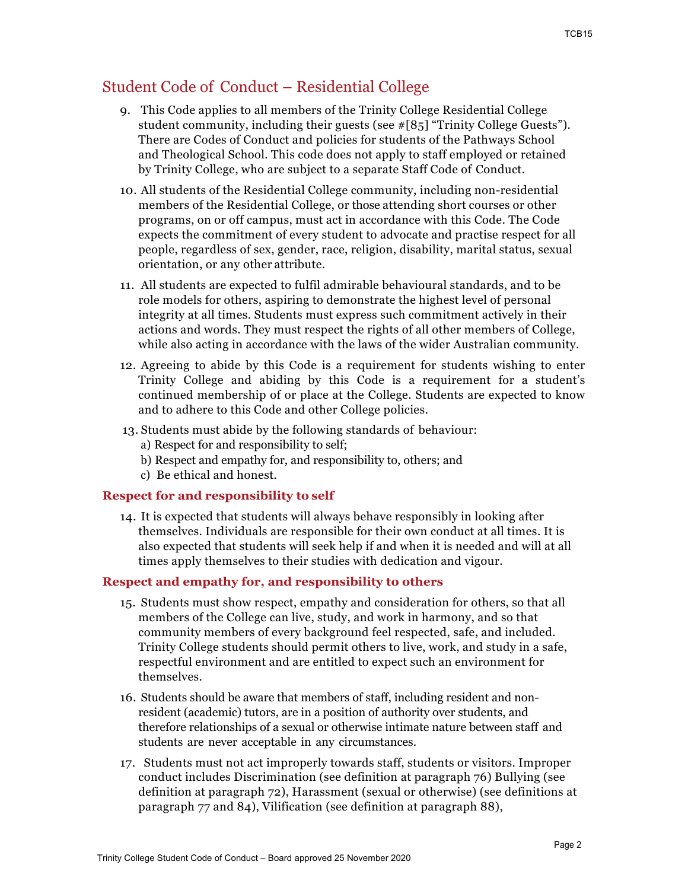## Student Code of Conduct – Residential College

- 9. This Code applies to all members of the Trinity College Residential College student community, including their guests (see #[85] "Trinity College Guests"). There are Codes of Conduct and policies for students of the Pathways School and Theological School. This code does not apply to staff employed or retained by Trinity College, who are subject to a separate Staff Code of Conduct.
- 10. All students of the Residential College community, including non-residential members of the Residential College, or those attending short courses or other programs, on or off campus, must act in accordance with this Code. The Code expects the commitment of every student to advocate and practise respect for all people, regardless of sex, gender, race, religion, disability, marital status, sexual orientation, or any other attribute.
- 11. All students are expected to fulfil admirable behavioural standards, and to be role models for others, aspiring to demonstrate the highest level of personal integrity at all times. Students must express such commitment actively in their actions and words. They must respect the rights of all other members of College, while also acting in accordance with the laws of the wider Australian community.
- 12. Agreeing to abide by this Code is a requirement for students wishing to enter Trinity College and abiding by this Code is a requirement for a student's continued membership of or place at the College. Students are expected to know and to adhere to this Code and other College policies.
- 13. Students must abide by the following standards of behaviour:
	- a) Respect for and responsibility to self;
	- b) Respect and empathy for, and responsibility to, others; and
	- c) Be ethical and honest.

### **Respect for and responsibility to self**

14. It is expected that students will always behave responsibly in looking after themselves. Individuals are responsible for their own conduct at all times. It is also expected that students will seek help if and when it is needed and will at all times apply themselves to their studies with dedication and vigour.

### **Respect and empathy for, and responsibility to others**

- 15. Students must show respect, empathy and consideration for others, so that all members of the College can live, study, and work in harmony, and so that community members of every background feel respected, safe, and included. Trinity College students should permit others to live, work, and study in a safe, respectful environment and are entitled to expect such an environment for themselves.
- 16. Students should be aware that members of staff, including resident and nonresident (academic) tutors, are in a position of authority over students, and therefore relationships of a sexual or otherwise intimate nature between staff and students are never acceptable in any circumstances.
- 17. Students must not act improperly towards staff, students or visitors. Improper conduct includes Discrimination (see definition at paragraph 76) Bullying (see definition at paragraph 72), Harassment (sexual or otherwise) (see definitions at paragraph 77 and 84), Vilification (see definition at paragraph 88),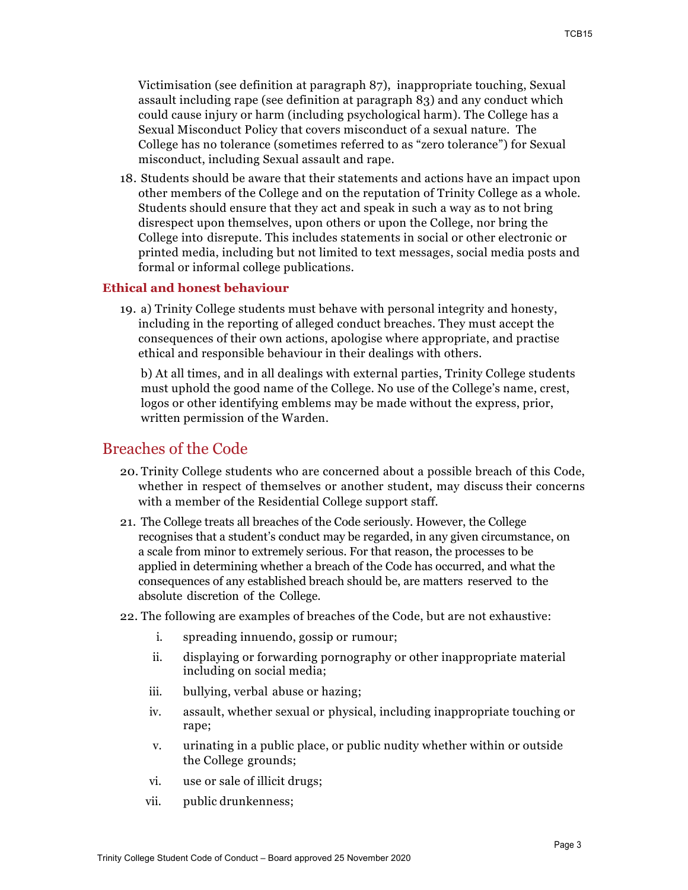Victimisation (see definition at paragraph 87), inappropriate touching, Sexual assault including rape (see definition at paragraph 83) and any conduct which could cause injury or harm (including psychological harm). The College has a Sexual Misconduct Policy that covers misconduct of a sexual nature. The College has no tolerance (sometimes referred to as "zero tolerance") for Sexual misconduct, including Sexual assault and rape.

18. Students should be aware that their statements and actions have an impact upon other members of the College and on the reputation of Trinity College as a whole. Students should ensure that they act and speak in such a way as to not bring disrespect upon themselves, upon others or upon the College, nor bring the College into disrepute. This includes statements in social or other electronic or printed media, including but not limited to text messages, social media posts and formal or informal college publications.

#### **Ethical and honest behaviour**

19. a) Trinity College students must behave with personal integrity and honesty, including in the reporting of alleged conduct breaches. They must accept the consequences of their own actions, apologise where appropriate, and practise ethical and responsible behaviour in their dealings with others.

b) At all times, and in all dealings with external parties, Trinity College students must uphold the good name of the College. No use of the College's name, crest, logos or other identifying emblems may be made without the express, prior, written permission of the Warden.

## Breaches of the Code

- 20. Trinity College students who are concerned about a possible breach of this Code, whether in respect of themselves or another student, may discuss their concerns with a member of the Residential College support staff.
- 21. The College treats all breaches of the Code seriously. However, the College recognises that a student's conduct may be regarded, in any given circumstance, on a scale from minor to extremely serious. For that reason, the processes to be applied in determining whether a breach of the Code has occurred, and what the consequences of any established breach should be, are matters reserved to the absolute discretion of the College.
- 22. The following are examples of breaches of the Code, but are not exhaustive:
	- i. spreading innuendo, gossip or rumour;
	- ii. displaying or forwarding pornography or other inappropriate material including on social media;
	- iii. bullying, verbal abuse or hazing;
	- iv. assault, whether sexual or physical, including inappropriate touching or rape;
	- v. urinating in a public place, or public nudity whether within or outside the College grounds;
	- vi. use or sale of illicit drugs;
	- vii. public drunkenness;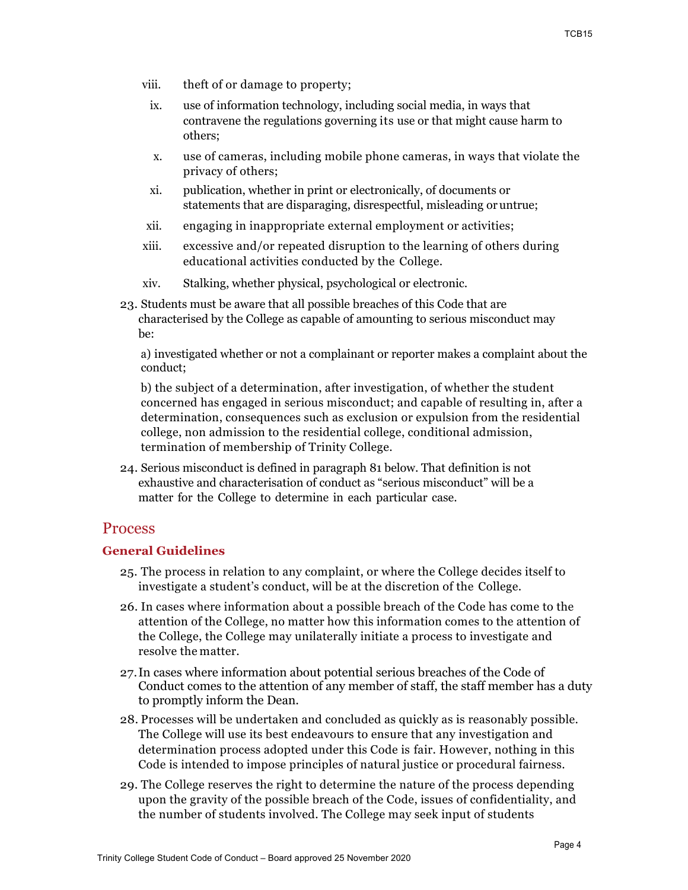- viii. theft of or damage to property;
- ix. use of information technology, including social media, in ways that contravene the regulations governing its use or that might cause harm to others;
- x. use of cameras, including mobile phone cameras, in ways that violate the privacy of others;
- xi. publication, whether in print or electronically, of documents or statements that are disparaging, disrespectful, misleading oruntrue;
- xii. engaging in inappropriate external employment or activities;
- xiii. excessive and/or repeated disruption to the learning of others during educational activities conducted by the College.
- xiv. Stalking, whether physical, psychological or electronic.
- 23. Students must be aware that all possible breaches of this Code that are characterised by the College as capable of amounting to serious misconduct may be:

a) investigated whether or not a complainant or reporter makes a complaint about the conduct;

b) the subject of a determination, after investigation, of whether the student concerned has engaged in serious misconduct; and capable of resulting in, after a determination, consequences such as exclusion or expulsion from the residential college, non admission to the residential college, conditional admission, termination of membership of Trinity College.

24. Serious misconduct is defined in paragraph 81 below. That definition is not exhaustive and characterisation of conduct as "serious misconduct" will be a matter for the College to determine in each particular case.

### Process

#### **General Guidelines**

- 25. The process in relation to any complaint, or where the College decides itself to investigate a student's conduct, will be at the discretion of the College.
- 26. In cases where information about a possible breach of the Code has come to the attention of the College, no matter how this information comes to the attention of the College, the College may unilaterally initiate a process to investigate and resolve the matter.
- 27.In cases where information about potential serious breaches of the Code of Conduct comes to the attention of any member of staff, the staff member has a duty to promptly inform the Dean.
- 28. Processes will be undertaken and concluded as quickly as is reasonably possible. The College will use its best endeavours to ensure that any investigation and determination process adopted under this Code is fair. However, nothing in this Code is intended to impose principles of natural justice or procedural fairness.
- 29. The College reserves the right to determine the nature of the process depending upon the gravity of the possible breach of the Code, issues of confidentiality, and the number of students involved. The College may seek input of students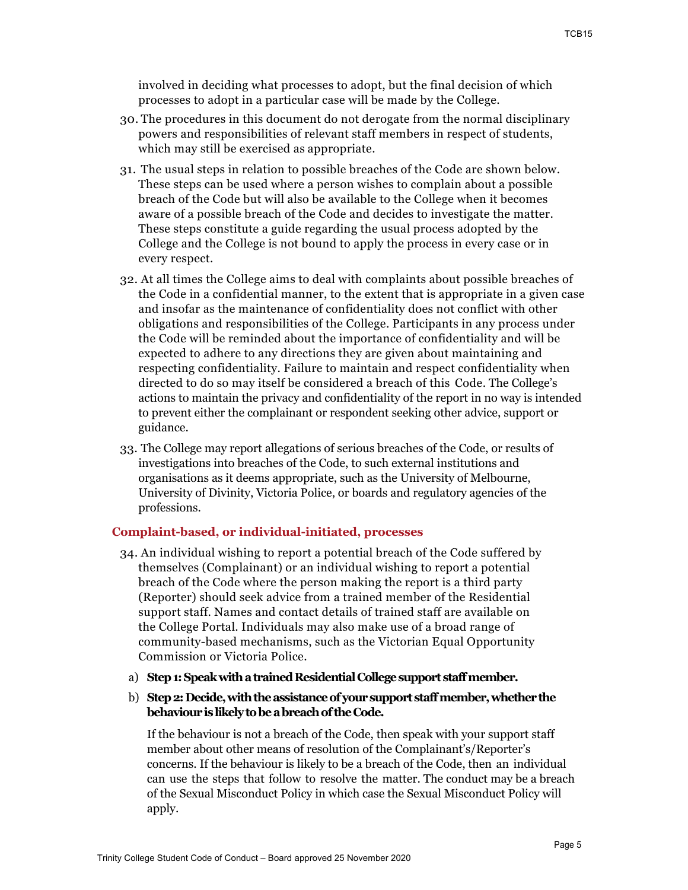involved in deciding what processes to adopt, but the final decision of which processes to adopt in a particular case will be made by the College.

- 30. The procedures in this document do not derogate from the normal disciplinary powers and responsibilities of relevant staff members in respect of students, which may still be exercised as appropriate.
- 31. The usual steps in relation to possible breaches of the Code are shown below. These steps can be used where a person wishes to complain about a possible breach of the Code but will also be available to the College when it becomes aware of a possible breach of the Code and decides to investigate the matter. These steps constitute a guide regarding the usual process adopted by the College and the College is not bound to apply the process in every case or in every respect.
- 32. At all times the College aims to deal with complaints about possible breaches of the Code in a confidential manner, to the extent that is appropriate in a given case and insofar as the maintenance of confidentiality does not conflict with other obligations and responsibilities of the College. Participants in any process under the Code will be reminded about the importance of confidentiality and will be expected to adhere to any directions they are given about maintaining and respecting confidentiality. Failure to maintain and respect confidentiality when directed to do so may itself be considered a breach of this Code. The College's actions to maintain the privacy and confidentiality of the report in no way is intended to prevent either the complainant or respondent seeking other advice, support or guidance.
- 33. The College may report allegations of serious breaches of the Code, or results of investigations into breaches of the Code, to such external institutions and organisations as it deems appropriate, such as the University of Melbourne, University of Divinity, Victoria Police, or boards and regulatory agencies of the professions.

#### **Complaint-based, or individual-initiated, processes**

- 34. An individual wishing to report a potential breach of the Code suffered by themselves (Complainant) or an individual wishing to report a potential breach of the Code where the person making the report is a third party (Reporter) should seek advice from a trained member of the Residential support staff. Names and contact details of trained staff are available on the College Portal. Individuals may also make use of a broad range of community-based mechanisms, such as the Victorian Equal Opportunity Commission or Victoria Police.
	- a) **Step 1: Speak with a trained Residential College support staff member.**
	- b) **Step 2: Decide, with the assistance of your support staff member, whether the behaviour is likely to be a breach of the Code.**

If the behaviour is not a breach of the Code, then speak with your support staff member about other means of resolution of the Complainant's/Reporter's concerns. If the behaviour is likely to be a breach of the Code, then an individual can use the steps that follow to resolve the matter. The conduct may be a breach of the Sexual Misconduct Policy in which case the Sexual Misconduct Policy will apply.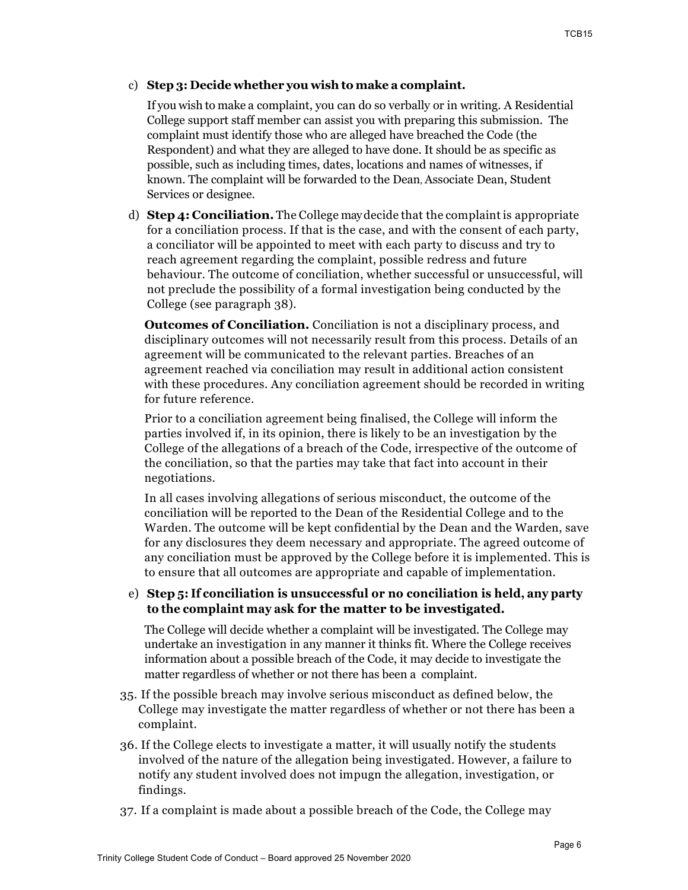#### c) **Step 3: Decide whether you wish to make a complaint.**

If you wish to make a complaint, you can do so verbally or in writing. A Residential College support staff member can assist you with preparing this submission. The complaint must identify those who are alleged have breached the Code (the Respondent) and what they are alleged to have done. It should be as specific as possible, such as including times, dates, locations and names of witnesses, if known. The complaint will be forwarded to the Dean, Associate Dean, Student Services or designee.

d) **Step 4: Conciliation.** The College may decide that the complaint is appropriate for a conciliation process. If that is the case, and with the consent of each party, a conciliator will be appointed to meet with each party to discuss and try to reach agreement regarding the complaint, possible redress and future behaviour. The outcome of conciliation, whether successful or unsuccessful, will not preclude the possibility of a formal investigation being conducted by the College (see paragraph 38).

**Outcomes of Conciliation.** Conciliation is not a disciplinary process, and disciplinary outcomes will not necessarily result from this process. Details of an agreement will be communicated to the relevant parties. Breaches of an agreement reached via conciliation may result in additional action consistent with these procedures. Any conciliation agreement should be recorded in writing for future reference.

Prior to a conciliation agreement being finalised, the College will inform the parties involved if, in its opinion, there is likely to be an investigation by the College of the allegations of a breach of the Code, irrespective of the outcome of the conciliation, so that the parties may take that fact into account in their negotiations.

In all cases involving allegations of serious misconduct, the outcome of the conciliation will be reported to the Dean of the Residential College and to the Warden. The outcome will be kept confidential by the Dean and the Warden, save for any disclosures they deem necessary and appropriate. The agreed outcome of any conciliation must be approved by the College before it is implemented. This is to ensure that all outcomes are appropriate and capable of implementation.

### e) **Step 5: If conciliation is unsuccessful or no conciliation is held, any party to the complaint may ask for the matter to be investigated.**

The College will decide whether a complaint will be investigated. The College may undertake an investigation in any manner it thinks fit. Where the College receives information about a possible breach of the Code, it may decide to investigate the matter regardless of whether or not there has been a complaint.

- 35. If the possible breach may involve serious misconduct as defined below, the College may investigate the matter regardless of whether or not there has been a complaint.
- 36. If the College elects to investigate a matter, it will usually notify the students involved of the nature of the allegation being investigated. However, a failure to notify any student involved does not impugn the allegation, investigation, or findings.
- 37. If a complaint is made about a possible breach of the Code, the College may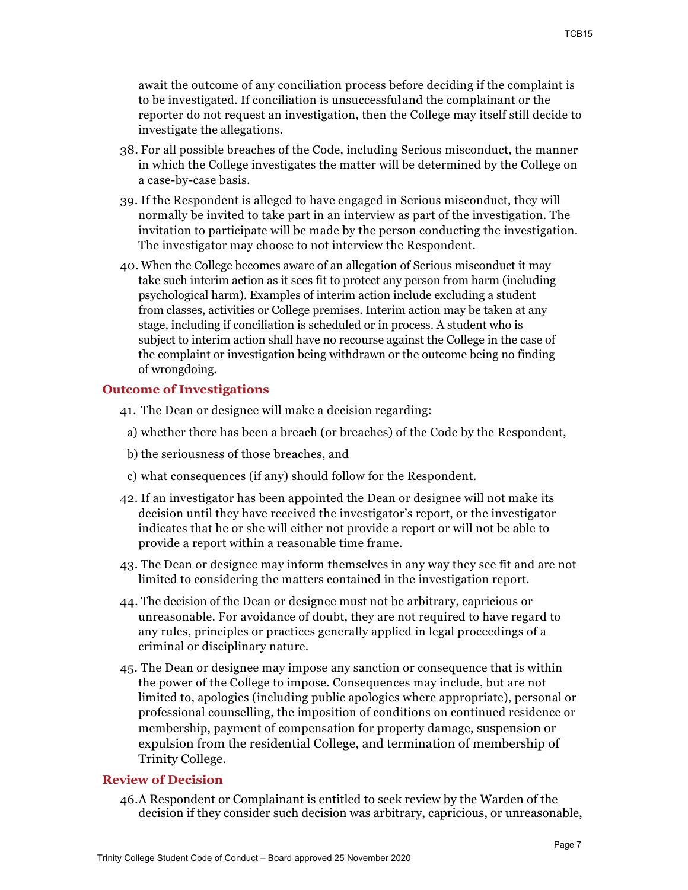await the outcome of any conciliation process before deciding if the complaint is to be investigated. If conciliation is unsuccessfuland the complainant or the reporter do not request an investigation, then the College may itself still decide to investigate the allegations.

- 38. For all possible breaches of the Code, including Serious misconduct, the manner in which the College investigates the matter will be determined by the College on a case-by-case basis.
- 39. If the Respondent is alleged to have engaged in Serious misconduct, they will normally be invited to take part in an interview as part of the investigation. The invitation to participate will be made by the person conducting the investigation. The investigator may choose to not interview the Respondent.
- 40. When the College becomes aware of an allegation of Serious misconduct it may take such interim action as it sees fit to protect any person from harm (including psychological harm). Examples of interim action include excluding a student from classes, activities or College premises. Interim action may be taken at any stage, including if conciliation is scheduled or in process. A student who is subject to interim action shall have no recourse against the College in the case of the complaint or investigation being withdrawn or the outcome being no finding of wrongdoing.

#### **Outcome of Investigations**

- 41. The Dean or designee will make a decision regarding:
	- a) whether there has been a breach (or breaches) of the Code by the Respondent,
	- b) the seriousness of those breaches, and
	- c) what consequences (if any) should follow for the Respondent.
- 42. If an investigator has been appointed the Dean or designee will not make its decision until they have received the investigator's report, or the investigator indicates that he or she will either not provide a report or will not be able to provide a report within a reasonable time frame.
- 43. The Dean or designee may inform themselves in any way they see fit and are not limited to considering the matters contained in the investigation report.
- 44. The decision of the Dean or designee must not be arbitrary, capricious or unreasonable. For avoidance of doubt, they are not required to have regard to any rules, principles or practices generally applied in legal proceedings of a criminal or disciplinary nature.
- 45. The Dean or designee may impose any sanction or consequence that is within the power of the College to impose. Consequences may include, but are not limited to, apologies (including public apologies where appropriate), personal or professional counselling, the imposition of conditions on continued residence or membership, payment of compensation for property damage, suspension or expulsion from the residential College, and termination of membership of Trinity College.

#### **Review of Decision**

46.A Respondent or Complainant is entitled to seek review by the Warden of the decision if they consider such decision was arbitrary, capricious, or unreasonable,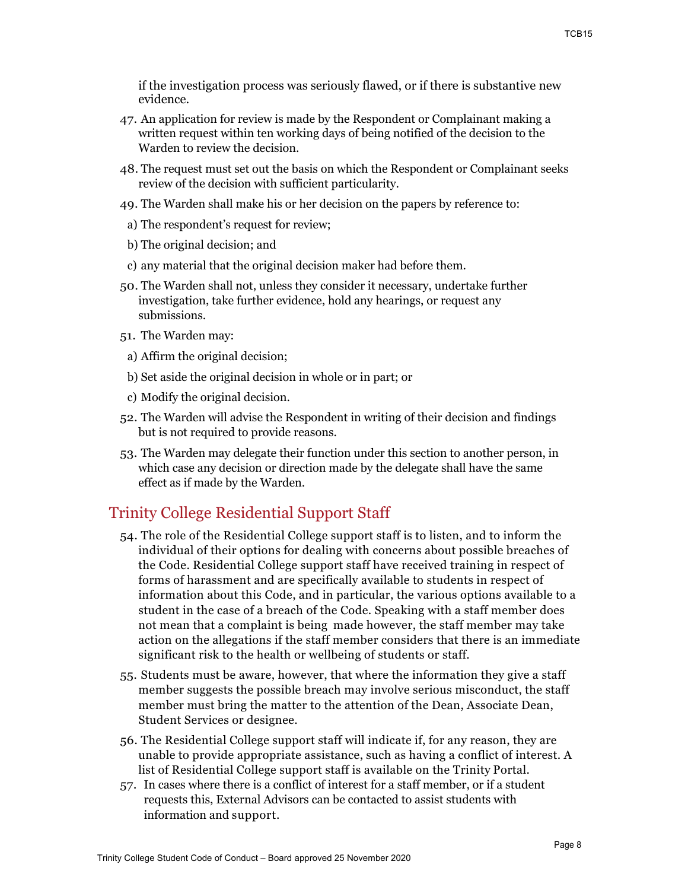if the investigation process was seriously flawed, or if there is substantive new evidence.

- 47. An application for review is made by the Respondent or Complainant making a written request within ten working days of being notified of the decision to the Warden to review the decision.
- 48. The request must set out the basis on which the Respondent or Complainant seeks review of the decision with sufficient particularity.
- 49. The Warden shall make his or her decision on the papers by reference to:
	- a) The respondent's request for review;
- b) The original decision; and
- c) any material that the original decision maker had before them.
- 50. The Warden shall not, unless they consider it necessary, undertake further investigation, take further evidence, hold any hearings, or request any submissions.
- 51. The Warden may:
	- a) Affirm the original decision;
	- b) Set aside the original decision in whole or in part; or
	- c) Modify the original decision.
- 52. The Warden will advise the Respondent in writing of their decision and findings but is not required to provide reasons.
- 53. The Warden may delegate their function under this section to another person, in which case any decision or direction made by the delegate shall have the same effect as if made by the Warden.

## Trinity College Residential Support Staff

- 54. The role of the Residential College support staff is to listen, and to inform the individual of their options for dealing with concerns about possible breaches of the Code. Residential College support staff have received training in respect of forms of harassment and are specifically available to students in respect of information about this Code, and in particular, the various options available to a student in the case of a breach of the Code. Speaking with a staff member does not mean that a complaint is being made however, the staff member may take action on the allegations if the staff member considers that there is an immediate significant risk to the health or wellbeing of students or staff.
- 55. Students must be aware, however, that where the information they give a staff member suggests the possible breach may involve serious misconduct, the staff member must bring the matter to the attention of the Dean, Associate Dean, Student Services or designee.
- 56. The Residential College support staff will indicate if, for any reason, they are unable to provide appropriate assistance, such as having a conflict of interest. A list of Residential College support staff is available on the Trinity Portal.
- 57. In cases where there is a conflict of interest for a staff member, or if a student requests this, External Advisors can be contacted to assist students with information and support.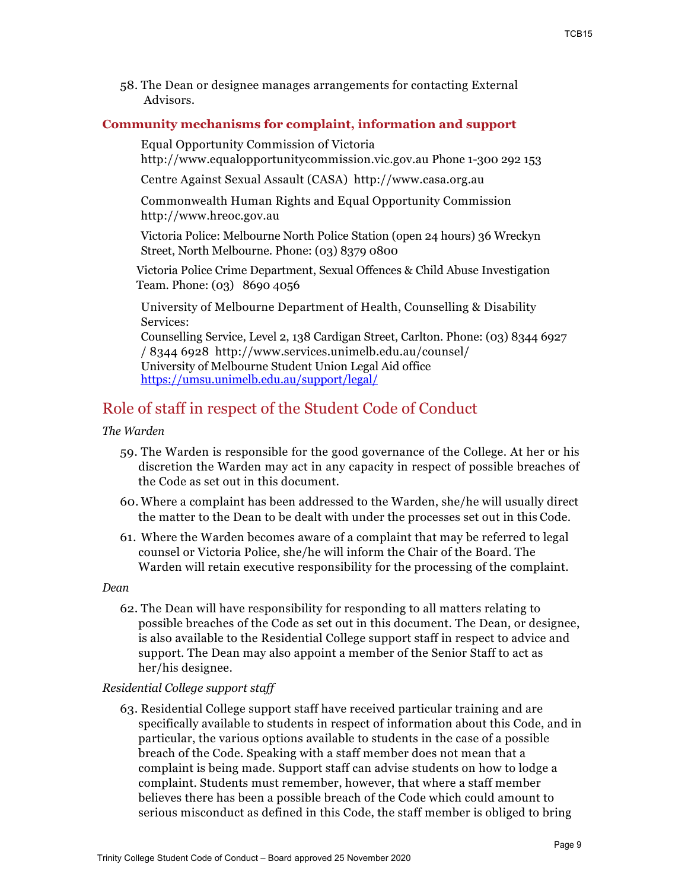58. The Dean or designee manages arrangements for contacting External Advisors.

#### **Community mechanisms for complaint, information and support**

Equal Opportunity Commission of Victoria http://www.equalopportunitycommission.vic.gov.au Phone 1-300 292 153

Centre Against Sexual Assault (CASA) http://www.casa.org.au

Commonwealth Human Rights and Equal Opportunity Commission http://www.hreoc.gov.au

Victoria Police: Melbourne North Police Station (open 24 hours) 36 Wreckyn Street, North Melbourne. Phone: (03) 8379 0800

Victoria Police Crime Department, Sexual Offences & Child Abuse Investigation Team. Phone: (03) 8690 4056

University of Melbourne Department of Health, Counselling & Disability Services:

Counselling Service, Level 2, 138 Cardigan Street, Carlton. Phone: (03) 8344 6927 / 8344 6928 http://www.services.unimelb.edu.au/counsel/ University of Melbourne Student Union Legal Aid office https://umsu.unimelb.edu.au/support/legal/

## Role of staff in respect of the Student Code of Conduct

#### *The Warden*

- 59. The Warden is responsible for the good governance of the College. At her or his discretion the Warden may act in any capacity in respect of possible breaches of the Code as set out in this document.
- 60. Where a complaint has been addressed to the Warden, she/he will usually direct the matter to the Dean to be dealt with under the processes set out in this Code.
- 61. Where the Warden becomes aware of a complaint that may be referred to legal counsel or Victoria Police, she/he will inform the Chair of the Board. The Warden will retain executive responsibility for the processing of the complaint.

#### *Dean*

62. The Dean will have responsibility for responding to all matters relating to possible breaches of the Code as set out in this document. The Dean, or designee, is also available to the Residential College support staff in respect to advice and support. The Dean may also appoint a member of the Senior Staff to act as her/his designee.

#### *Residential College support staff*

63. Residential College support staff have received particular training and are specifically available to students in respect of information about this Code, and in particular, the various options available to students in the case of a possible breach of the Code. Speaking with a staff member does not mean that a complaint is being made. Support staff can advise students on how to lodge a complaint. Students must remember, however, that where a staff member believes there has been a possible breach of the Code which could amount to serious misconduct as defined in this Code, the staff member is obliged to bring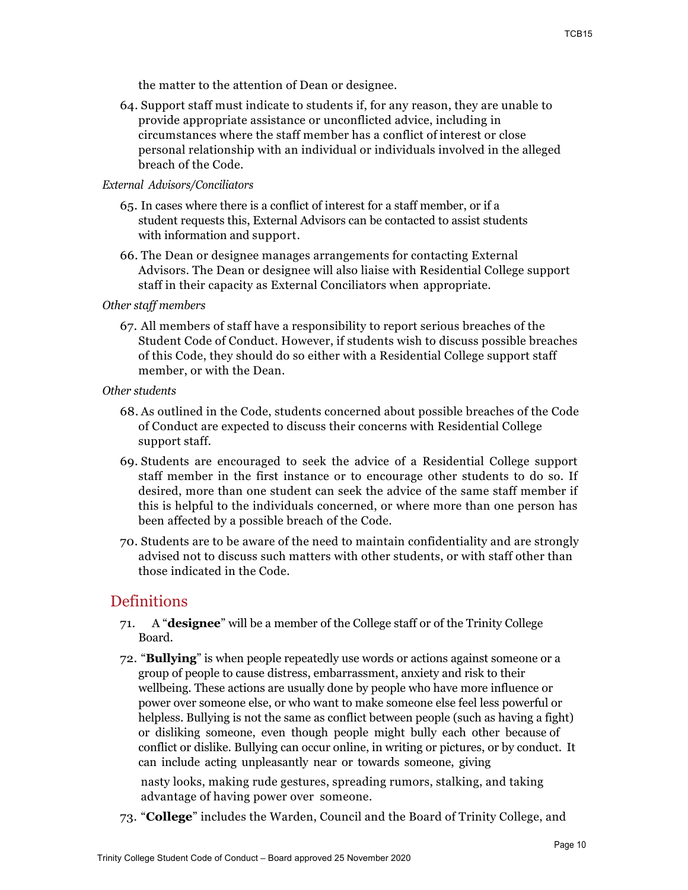the matter to the attention of Dean or designee.

64. Support staff must indicate to students if, for any reason, they are unable to provide appropriate assistance or unconflicted advice, including in circumstances where the staff member has a conflict of interest or close personal relationship with an individual or individuals involved in the alleged breach of the Code.

#### *External Advisors/Conciliators*

- 65. In cases where there is a conflict of interest for a staff member, or if a student requests this, External Advisors can be contacted to assist students with information and support.
- 66. The Dean or designee manages arrangements for contacting External Advisors. The Dean or designee will also liaise with Residential College support staff in their capacity as External Conciliators when appropriate.

#### *Other staff members*

67. All members of staff have a responsibility to report serious breaches of the Student Code of Conduct. However, if students wish to discuss possible breaches of this Code, they should do so either with a Residential College support staff member, or with the Dean.

#### *Other students*

- 68. As outlined in the Code, students concerned about possible breaches of the Code of Conduct are expected to discuss their concerns with Residential College support staff.
- 69. Students are encouraged to seek the advice of a Residential College support staff member in the first instance or to encourage other students to do so. If desired, more than one student can seek the advice of the same staff member if this is helpful to the individuals concerned, or where more than one person has been affected by a possible breach of the Code.
- 70. Students are to be aware of the need to maintain confidentiality and are strongly advised not to discuss such matters with other students, or with staff other than those indicated in the Code.

## **Definitions**

- 71. A "**designee**" will be a member of the College staff or of the Trinity College Board.
- 72. "**Bullying**" is when people repeatedly use words or actions against someone or a group of people to cause distress, embarrassment, anxiety and risk to their wellbeing. These actions are usually done by people who have more influence or power over someone else, or who want to make someone else feel less powerful or helpless. Bullying is not the same as conflict between people (such as having a fight) or disliking someone, even though people might bully each other because of conflict or dislike. Bullying can occur online, in writing or pictures, or by conduct. It can include acting unpleasantly near or towards someone, giving

nasty looks, making rude gestures, spreading rumors, stalking, and taking advantage of having power over someone.

73. "**College**" includes the Warden, Council and the Board of Trinity College, and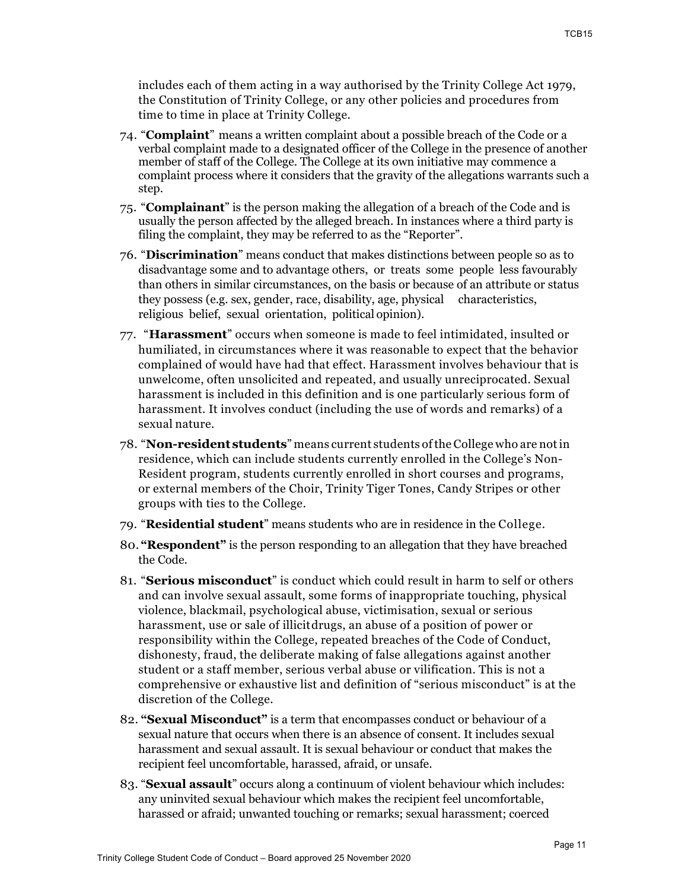includes each of them acting in a way authorised by the Trinity College Act 1979, the Constitution of Trinity College, or any other policies and procedures from time to time in place at Trinity College.

- 74. "**Complaint**" means a written complaint about a possible breach of the Code or a verbal complaint made to a designated officer of the College in the presence of another member of staff of the College. The College at its own initiative may commence a complaint process where it considers that the gravity of the allegations warrants such a step.
- 75. "**Complainant**" is the person making the allegation of a breach of the Code and is usually the person affected by the alleged breach. In instances where a third party is filing the complaint, they may be referred to as the "Reporter".
- 76. "**Discrimination**" means conduct that makes distinctions between people so as to disadvantage some and to advantage others, or treats some people less favourably than others in similar circumstances, on the basis or because of an attribute or status they possess (e.g. sex, gender, race, disability, age, physical characteristics, religious belief, sexual orientation, political opinion).
- 77. "**Harassment**" occurs when someone is made to feel intimidated, insulted or humiliated, in circumstances where it was reasonable to expect that the behavior complained of would have had that effect. Harassment involves behaviour that is unwelcome, often unsolicited and repeated, and usually unreciprocated. Sexual harassment is included in this definition and is one particularly serious form of harassment. It involves conduct (including the use of words and remarks) of a sexual nature.
- 78. "**Non-resident students**" means current students ofthe College who are notin residence, which can include students currently enrolled in the College's Non-Resident program, students currently enrolled in short courses and programs, or external members of the Choir, Trinity Tiger Tones, Candy Stripes or other groups with ties to the College.
- 79. "**Residential student**" means students who are in residence in the College.
- 80. **"Respondent"** is the person responding to an allegation that they have breached the Code.
- 81. "**Serious misconduct**" is conduct which could result in harm to self or others and can involve sexual assault, some forms of inappropriate touching, physical violence, blackmail, psychological abuse, victimisation, sexual or serious harassment, use or sale of illicitdrugs, an abuse of a position of power or responsibility within the College, repeated breaches of the Code of Conduct, dishonesty, fraud, the deliberate making of false allegations against another student or a staff member, serious verbal abuse or vilification. This is not a comprehensive or exhaustive list and definition of "serious misconduct" is at the discretion of the College.
- 82. **"Sexual Misconduct"** is a term that encompasses conduct or behaviour of a sexual nature that occurs when there is an absence of consent. It includes sexual harassment and sexual assault. It is sexual behaviour or conduct that makes the recipient feel uncomfortable, harassed, afraid, or unsafe.
- 83. "**Sexual assault**" occurs along a continuum of violent behaviour which includes: any uninvited sexual behaviour which makes the recipient feel uncomfortable, harassed or afraid; unwanted touching or remarks; sexual harassment; coerced